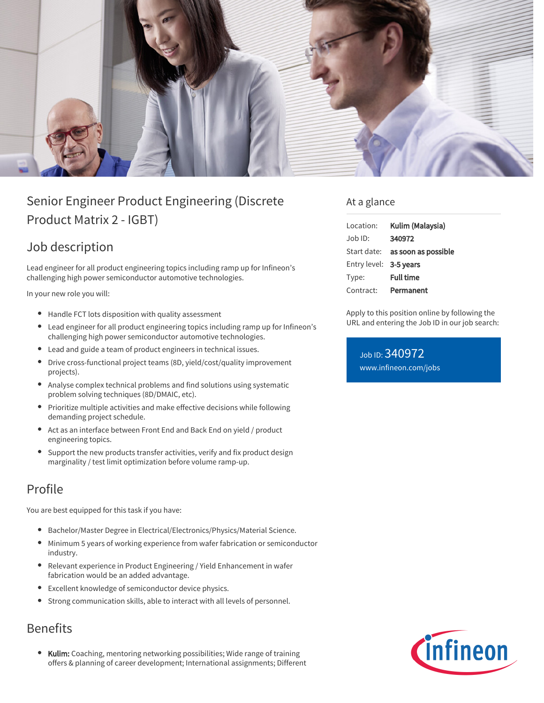

# Senior Engineer Product Engineering (Discrete Product Matrix 2 - IGBT)

## Job description

Lead engineer for all product engineering topics including ramp up for Infineon's challenging high power semiconductor automotive technologies.

In your new role you will:

- Handle FCT lots disposition with quality assessment
- Lead engineer for all product engineering topics including ramp up for Infineon's challenging high power semiconductor automotive technologies.
- Lead and guide a team of product engineers in technical issues.
- $\bullet$ Drive cross-functional project teams (8D, yield/cost/quality improvement projects).
- Analyse complex technical problems and find solutions using systematic problem solving techniques (8D/DMAIC, etc).
- Prioritize multiple activities and make effective decisions while following demanding project schedule.
- Act as an interface between Front End and Back End on yield / product engineering topics.
- Support the new products transfer activities, verify and fix product design marginality / test limit optimization before volume ramp-up.

### Profile

You are best equipped for this task if you have:

- Bachelor/Master Degree in Electrical/Electronics/Physics/Material Science.
- Minimum 5 years of working experience from wafer fabrication or semiconductor industry.
- Relevant experience in Product Engineering / Yield Enhancement in wafer fabrication would be an added advantage.
- Excellent knowledge of semiconductor device physics.
- Strong communication skills, able to interact with all levels of personnel.

### Benefits

Kulim: Coaching, mentoring networking possibilities; Wide range of training offers & planning of career development; International assignments; Different

#### At a glance

| Location:              | Kulim (Malaysia)                       |
|------------------------|----------------------------------------|
| Job ID:                | 340972                                 |
|                        | Start date: <b>as soon as possible</b> |
| Entry level: 3-5 years |                                        |
| Type:                  | <b>Full time</b>                       |
| Contract:              | Permanent                              |

Apply to this position online by following the URL and entering the Job ID in our job search:

Job ID: 340972 [www.infineon.com/jobs](https://www.infineon.com/jobs)